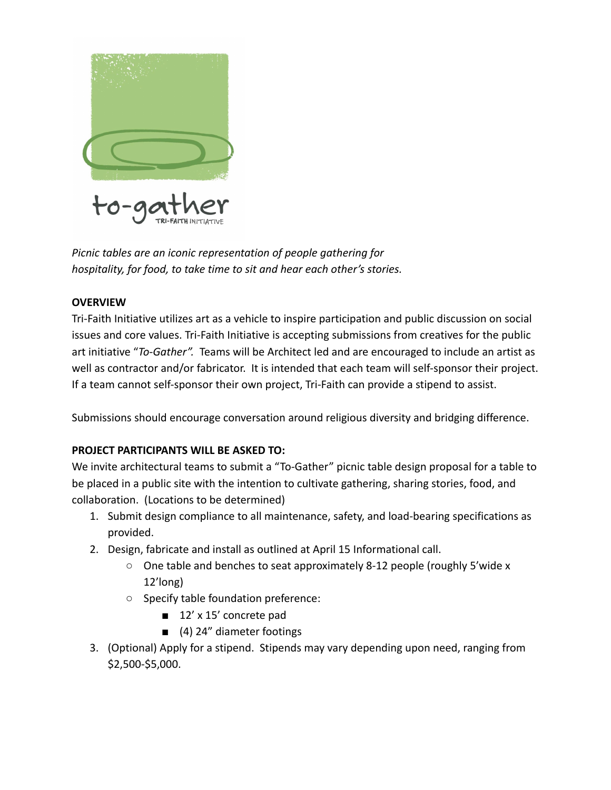

*Picnic tables are an iconic representation of people gathering for hospitality, for food, to take time to sit and hear each other's stories.*

## **OVERVIEW**

Tri-Faith Initiative utilizes art as a vehicle to inspire participation and public discussion on social issues and core values. Tri-Faith Initiative is accepting submissions from creatives for the public art initiative "*To-Gather".* Teams will be Architect led and are encouraged to include an artist as well as contractor and/or fabricator. It is intended that each team will self-sponsor their project. If a team cannot self-sponsor their own project, Tri-Faith can provide a stipend to assist.

Submissions should encourage conversation around religious diversity and bridging difference.

# **PROJECT PARTICIPANTS WILL BE ASKED TO:**

We invite architectural teams to submit a "To-Gather" picnic table design proposal for a table to be placed in a public site with the intention to cultivate gathering, sharing stories, food, and collaboration. (Locations to be determined)

- 1. Submit design compliance to all maintenance, safety, and load-bearing specifications as provided.
- 2. Design, fabricate and install as outlined at April 15 Informational call.
	- $\circ$  One table and benches to seat approximately 8-12 people (roughly 5'wide x 12'long)
	- Specify table foundation preference:
		- 12' x 15' concrete pad
		- (4) 24" diameter footings
- 3. (Optional) Apply for a stipend. Stipends may vary depending upon need, ranging from \$2,500-\$5,000.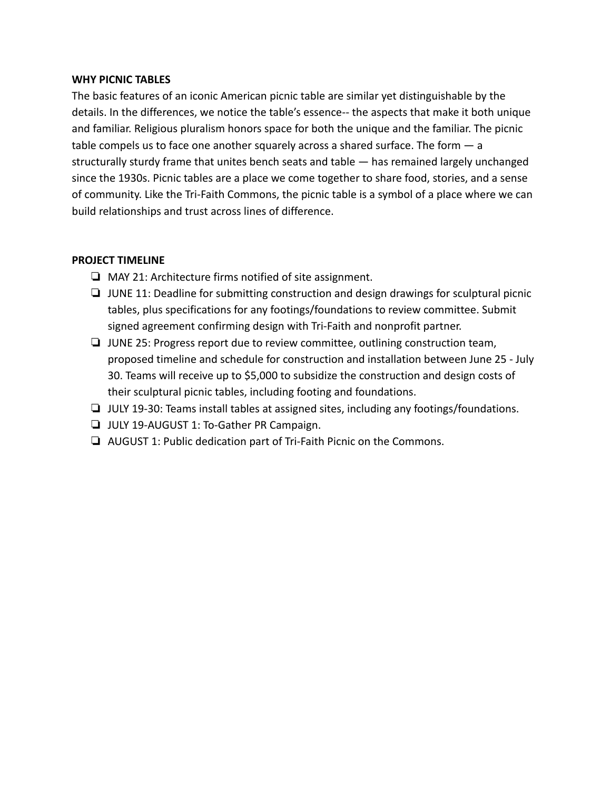#### **WHY PICNIC TABLES**

The basic features of an iconic American picnic table are similar yet distinguishable by the details. In the differences, we notice the table's essence-- the aspects that make it both unique and familiar. Religious pluralism honors space for both the unique and the familiar. The picnic table compels us to face one another squarely across a shared surface. The form  $-$  a structurally sturdy frame that unites bench seats and table — has remained largely unchanged since the 1930s. Picnic tables are a place we come together to share food, stories, and a sense of community. Like the Tri-Faith Commons, the picnic table is a symbol of a place where we can build relationships and trust across lines of difference.

#### **PROJECT TIMELINE**

- ❏ MAY 21: Architecture firms notified of site assignment.
- ❏ JUNE 11: Deadline for submitting construction and design drawings for sculptural picnic tables, plus specifications for any footings/foundations to review committee. Submit signed agreement confirming design with Tri-Faith and nonprofit partner.
- ❏ JUNE 25: Progress report due to review committee, outlining construction team, proposed timeline and schedule for construction and installation between June 25 - July 30. Teams will receive up to \$5,000 to subsidize the construction and design costs of their sculptural picnic tables, including footing and foundations.
- ❏ JULY 19-30: Teams install tables at assigned sites, including any footings/foundations.
- ❏ JULY 19-AUGUST 1: To-Gather PR Campaign.
- ❏ AUGUST 1: Public dedication part of Tri-Faith Picnic on the Commons.